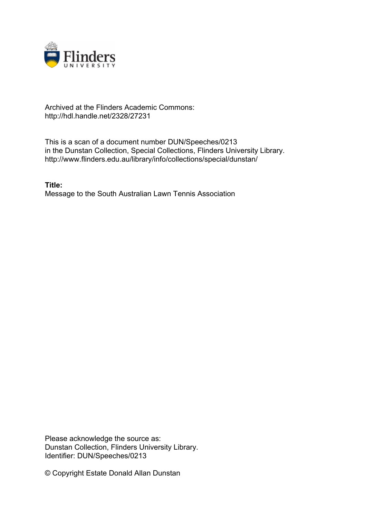

## Archived at the Flinders Academic Commons: http://hdl.handle.net/2328/27231

This is a scan of a document number DUN/Speeches/0213 in the Dunstan Collection, Special Collections, Flinders University Library. http://www.flinders.edu.au/library/info/collections/special/dunstan/

**Title:** Message to the South Australian Lawn Tennis Association

Please acknowledge the source as: Dunstan Collection, Flinders University Library. Identifier: DUN/Speeches/0213

© Copyright Estate Donald Allan Dunstan